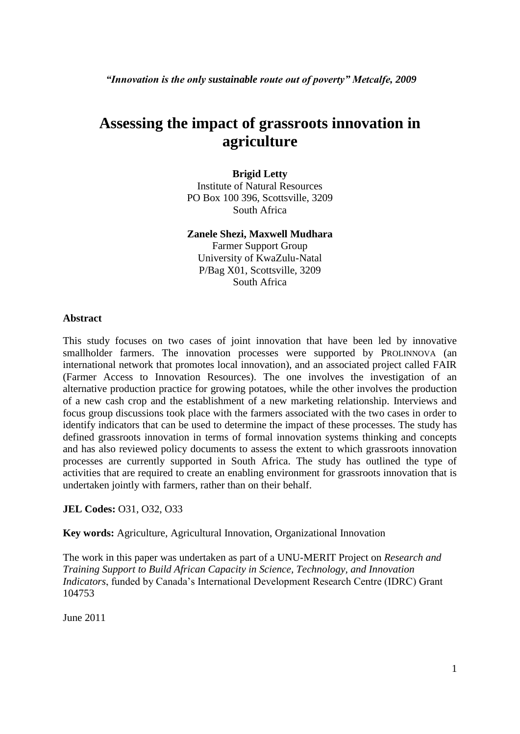*"Innovation is the only sustainable route out of poverty" Metcalfe, 2009*

# **Assessing the impact of grassroots innovation in agriculture**

#### **Brigid Letty**

Institute of Natural Resources PO Box 100 396, Scottsville, 3209 South Africa

#### **Zanele Shezi, Maxwell Mudhara**

Farmer Support Group University of KwaZulu-Natal P/Bag X01, Scottsville, 3209 South Africa

#### **Abstract**

This study focuses on two cases of joint innovation that have been led by innovative smallholder farmers. The innovation processes were supported by PROLINNOVA (an international network that promotes local innovation), and an associated project called FAIR (Farmer Access to Innovation Resources). The one involves the investigation of an alternative production practice for growing potatoes, while the other involves the production of a new cash crop and the establishment of a new marketing relationship. Interviews and focus group discussions took place with the farmers associated with the two cases in order to identify indicators that can be used to determine the impact of these processes. The study has defined grassroots innovation in terms of formal innovation systems thinking and concepts and has also reviewed policy documents to assess the extent to which grassroots innovation processes are currently supported in South Africa. The study has outlined the type of activities that are required to create an enabling environment for grassroots innovation that is undertaken jointly with farmers, rather than on their behalf.

#### **JEL Codes:** O31, O32, O33

**Key words:** Agriculture, Agricultural Innovation, Organizational Innovation

The work in this paper was undertaken as part of a UNU-MERIT Project on *Research and Training Support to Build African Capacity in Science, Technology, and Innovation Indicators*, funded by Canada's International Development Research Centre (IDRC) Grant 104753

June 2011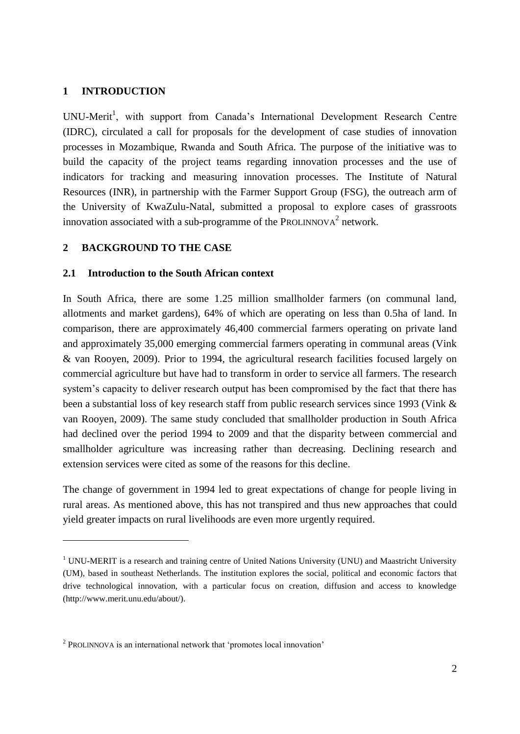#### **1 INTRODUCTION**

1

UNU-Merit<sup>1</sup>, with support from Canada's International Development Research Centre (IDRC), circulated a call for proposals for the development of case studies of innovation processes in Mozambique, Rwanda and South Africa. The purpose of the initiative was to build the capacity of the project teams regarding innovation processes and the use of indicators for tracking and measuring innovation processes. The Institute of Natural Resources (INR), in partnership with the Farmer Support Group (FSG), the outreach arm of the University of KwaZulu-Natal, submitted a proposal to explore cases of grassroots innovation associated with a sub-programme of the PROLINNOVA<sup>2</sup> network.

#### **2 BACKGROUND TO THE CASE**

#### **2.1 Introduction to the South African context**

In South Africa, there are some 1.25 million smallholder farmers (on communal land, allotments and market gardens), 64% of which are operating on less than 0.5ha of land. In comparison, there are approximately 46,400 commercial farmers operating on private land and approximately 35,000 emerging commercial farmers operating in communal areas (Vink & van Rooyen, 2009). Prior to 1994, the agricultural research facilities focused largely on commercial agriculture but have had to transform in order to service all farmers. The research system's capacity to deliver research output has been compromised by the fact that there has been a substantial loss of key research staff from public research services since 1993 (Vink & van Rooyen, 2009). The same study concluded that smallholder production in South Africa had declined over the period 1994 to 2009 and that the disparity between commercial and smallholder agriculture was increasing rather than decreasing. Declining research and extension services were cited as some of the reasons for this decline.

The change of government in 1994 led to great expectations of change for people living in rural areas. As mentioned above, this has not transpired and thus new approaches that could yield greater impacts on rural livelihoods are even more urgently required.

 $1$  UNU-MERIT is a research and training centre of United Nations University (UNU) and Maastricht University (UM), based in southeast Netherlands. The institution explores the social, political and economic factors that drive technological innovation, with a particular focus on creation, diffusion and access to knowledge (http://www.merit.unu.edu/about/).

 $2$  PROLINNOVA is an international network that 'promotes local innovation'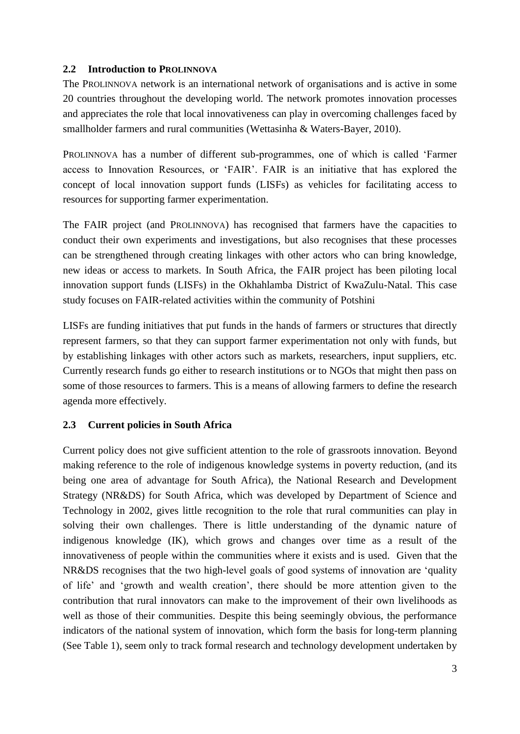### **2.2 Introduction to PROLINNOVA**

The PROLINNOVA network is an international network of organisations and is active in some 20 countries throughout the developing world. The network promotes innovation processes and appreciates the role that local innovativeness can play in overcoming challenges faced by smallholder farmers and rural communities (Wettasinha & Waters-Bayer, 2010).

PROLINNOVA has a number of different sub-programmes, one of which is called 'Farmer access to Innovation Resources, or 'FAIR'. FAIR is an initiative that has explored the concept of local innovation support funds (LISFs) as vehicles for facilitating access to resources for supporting farmer experimentation.

The FAIR project (and PROLINNOVA) has recognised that farmers have the capacities to conduct their own experiments and investigations, but also recognises that these processes can be strengthened through creating linkages with other actors who can bring knowledge, new ideas or access to markets. In South Africa, the FAIR project has been piloting local innovation support funds (LISFs) in the Okhahlamba District of KwaZulu-Natal. This case study focuses on FAIR-related activities within the community of Potshini

LISFs are funding initiatives that put funds in the hands of farmers or structures that directly represent farmers, so that they can support farmer experimentation not only with funds, but by establishing linkages with other actors such as markets, researchers, input suppliers, etc. Currently research funds go either to research institutions or to NGOs that might then pass on some of those resources to farmers. This is a means of allowing farmers to define the research agenda more effectively.

# **2.3 Current policies in South Africa**

Current policy does not give sufficient attention to the role of grassroots innovation. Beyond making reference to the role of indigenous knowledge systems in poverty reduction, (and its being one area of advantage for South Africa), the National Research and Development Strategy (NR&DS) for South Africa, which was developed by Department of Science and Technology in 2002, gives little recognition to the role that rural communities can play in solving their own challenges. There is little understanding of the dynamic nature of indigenous knowledge (IK), which grows and changes over time as a result of the innovativeness of people within the communities where it exists and is used. Given that the NR&DS recognises that the two high-level goals of good systems of innovation are 'quality of life' and 'growth and wealth creation', there should be more attention given to the contribution that rural innovators can make to the improvement of their own livelihoods as well as those of their communities. Despite this being seemingly obvious, the performance indicators of the national system of innovation, which form the basis for long-term planning (See Table 1), seem only to track formal research and technology development undertaken by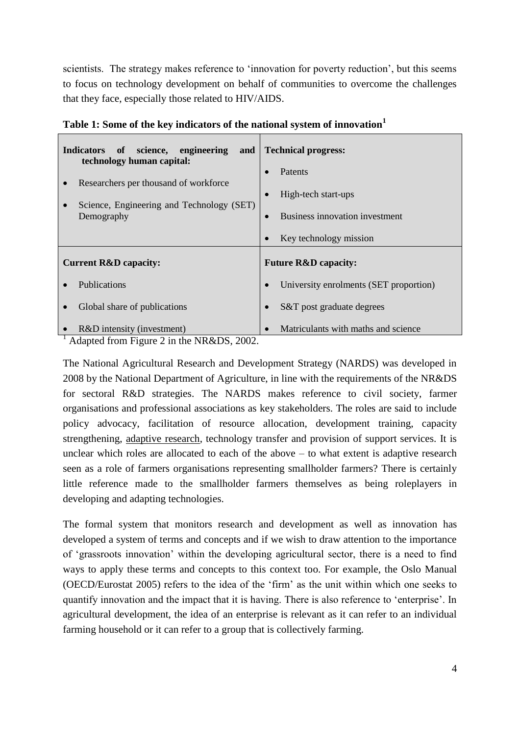scientists. The strategy makes reference to 'innovation for poverty reduction', but this seems to focus on technology development on behalf of communities to overcome the challenges that they face, especially those related to HIV/AIDS.

| Indicators of science, engineering<br>and  <br>technology human capital:                         | <b>Technical progress:</b>                                       |
|--------------------------------------------------------------------------------------------------|------------------------------------------------------------------|
| Researchers per thousand of workforce<br>Science, Engineering and Technology (SET)<br>Demography | Patents<br>High-tech start-ups<br>Business innovation investment |
|                                                                                                  | Key technology mission                                           |
| <b>Current R&amp;D capacity:</b>                                                                 | <b>Future R&amp;D capacity:</b>                                  |
| Publications                                                                                     | University enrolments (SET proportion)                           |
| Global share of publications                                                                     | S&T post graduate degrees                                        |
| R&D intensity (investment)                                                                       | Matriculants with maths and science                              |

**Table 1: Some of the key indicators of the national system of innovation<sup>1</sup>**

 $<sup>1</sup>$  Adapted from Figure 2 in the NR&DS, 2002.</sup>

The National Agricultural Research and Development Strategy (NARDS) was developed in 2008 by the National Department of Agriculture, in line with the requirements of the NR&DS for sectoral R&D strategies. The NARDS makes reference to civil society, farmer organisations and professional associations as key stakeholders. The roles are said to include policy advocacy, facilitation of resource allocation, development training, capacity strengthening, adaptive research, technology transfer and provision of support services. It is unclear which roles are allocated to each of the above – to what extent is adaptive research seen as a role of farmers organisations representing smallholder farmers? There is certainly little reference made to the smallholder farmers themselves as being roleplayers in developing and adapting technologies.

The formal system that monitors research and development as well as innovation has developed a system of terms and concepts and if we wish to draw attention to the importance of 'grassroots innovation' within the developing agricultural sector, there is a need to find ways to apply these terms and concepts to this context too. For example, the Oslo Manual (OECD/Eurostat 2005) refers to the idea of the 'firm' as the unit within which one seeks to quantify innovation and the impact that it is having. There is also reference to 'enterprise'. In agricultural development, the idea of an enterprise is relevant as it can refer to an individual farming household or it can refer to a group that is collectively farming.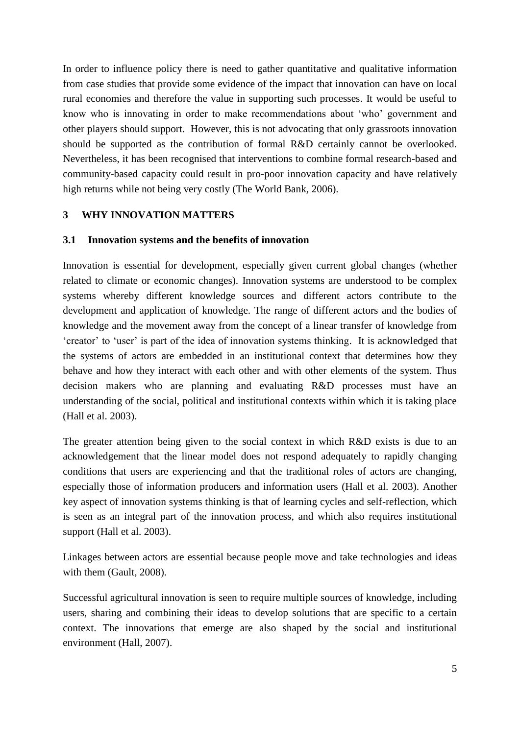In order to influence policy there is need to gather quantitative and qualitative information from case studies that provide some evidence of the impact that innovation can have on local rural economies and therefore the value in supporting such processes. It would be useful to know who is innovating in order to make recommendations about 'who' government and other players should support. However, this is not advocating that only grassroots innovation should be supported as the contribution of formal R&D certainly cannot be overlooked. Nevertheless, it has been recognised that interventions to combine formal research-based and community-based capacity could result in pro-poor innovation capacity and have relatively high returns while not being very costly (The World Bank, 2006).

### **3 WHY INNOVATION MATTERS**

#### **3.1 Innovation systems and the benefits of innovation**

Innovation is essential for development, especially given current global changes (whether related to climate or economic changes). Innovation systems are understood to be complex systems whereby different knowledge sources and different actors contribute to the development and application of knowledge. The range of different actors and the bodies of knowledge and the movement away from the concept of a linear transfer of knowledge from 'creator' to 'user' is part of the idea of innovation systems thinking. It is acknowledged that the systems of actors are embedded in an institutional context that determines how they behave and how they interact with each other and with other elements of the system. Thus decision makers who are planning and evaluating R&D processes must have an understanding of the social, political and institutional contexts within which it is taking place (Hall et al. 2003).

The greater attention being given to the social context in which R&D exists is due to an acknowledgement that the linear model does not respond adequately to rapidly changing conditions that users are experiencing and that the traditional roles of actors are changing, especially those of information producers and information users (Hall et al. 2003). Another key aspect of innovation systems thinking is that of learning cycles and self-reflection, which is seen as an integral part of the innovation process, and which also requires institutional support (Hall et al. 2003).

Linkages between actors are essential because people move and take technologies and ideas with them (Gault, 2008).

Successful agricultural innovation is seen to require multiple sources of knowledge, including users, sharing and combining their ideas to develop solutions that are specific to a certain context. The innovations that emerge are also shaped by the social and institutional environment (Hall, 2007).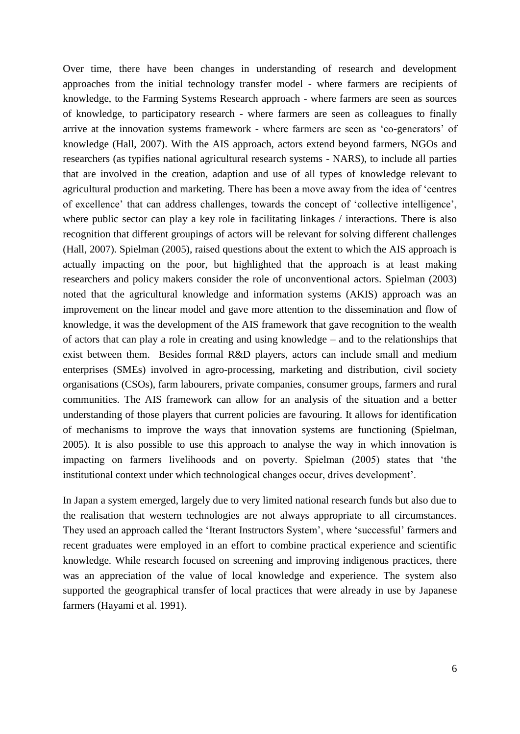Over time, there have been changes in understanding of research and development approaches from the initial technology transfer model - where farmers are recipients of knowledge, to the Farming Systems Research approach - where farmers are seen as sources of knowledge, to participatory research - where farmers are seen as colleagues to finally arrive at the innovation systems framework - where farmers are seen as 'co-generators' of knowledge (Hall, 2007). With the AIS approach, actors extend beyond farmers, NGOs and researchers (as typifies national agricultural research systems - NARS), to include all parties that are involved in the creation, adaption and use of all types of knowledge relevant to agricultural production and marketing. There has been a move away from the idea of 'centres of excellence' that can address challenges, towards the concept of 'collective intelligence', where public sector can play a key role in facilitating linkages / interactions. There is also recognition that different groupings of actors will be relevant for solving different challenges (Hall, 2007). Spielman (2005), raised questions about the extent to which the AIS approach is actually impacting on the poor, but highlighted that the approach is at least making researchers and policy makers consider the role of unconventional actors. Spielman (2003) noted that the agricultural knowledge and information systems (AKIS) approach was an improvement on the linear model and gave more attention to the dissemination and flow of knowledge, it was the development of the AIS framework that gave recognition to the wealth of actors that can play a role in creating and using knowledge – and to the relationships that exist between them. Besides formal R&D players, actors can include small and medium enterprises (SMEs) involved in agro-processing, marketing and distribution, civil society organisations (CSOs), farm labourers, private companies, consumer groups, farmers and rural communities. The AIS framework can allow for an analysis of the situation and a better understanding of those players that current policies are favouring. It allows for identification of mechanisms to improve the ways that innovation systems are functioning (Spielman, 2005). It is also possible to use this approach to analyse the way in which innovation is impacting on farmers livelihoods and on poverty. Spielman (2005) states that 'the institutional context under which technological changes occur, drives development'.

In Japan a system emerged, largely due to very limited national research funds but also due to the realisation that western technologies are not always appropriate to all circumstances. They used an approach called the 'Iterant Instructors System', where 'successful' farmers and recent graduates were employed in an effort to combine practical experience and scientific knowledge. While research focused on screening and improving indigenous practices, there was an appreciation of the value of local knowledge and experience. The system also supported the geographical transfer of local practices that were already in use by Japanese farmers (Hayami et al. 1991).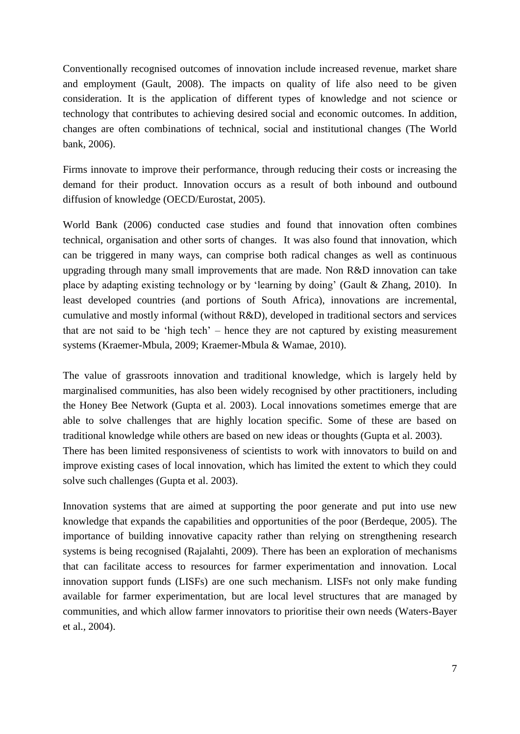Conventionally recognised outcomes of innovation include increased revenue, market share and employment (Gault, 2008). The impacts on quality of life also need to be given consideration. It is the application of different types of knowledge and not science or technology that contributes to achieving desired social and economic outcomes. In addition, changes are often combinations of technical, social and institutional changes (The World bank, 2006).

Firms innovate to improve their performance, through reducing their costs or increasing the demand for their product. Innovation occurs as a result of both inbound and outbound diffusion of knowledge (OECD/Eurostat, 2005).

World Bank (2006) conducted case studies and found that innovation often combines technical, organisation and other sorts of changes. It was also found that innovation, which can be triggered in many ways, can comprise both radical changes as well as continuous upgrading through many small improvements that are made. Non R&D innovation can take place by adapting existing technology or by 'learning by doing' (Gault & Zhang, 2010). In least developed countries (and portions of South Africa), innovations are incremental, cumulative and mostly informal (without R&D), developed in traditional sectors and services that are not said to be 'high tech' – hence they are not captured by existing measurement systems (Kraemer-Mbula, 2009; Kraemer-Mbula & Wamae, 2010).

The value of grassroots innovation and traditional knowledge, which is largely held by marginalised communities, has also been widely recognised by other practitioners, including the Honey Bee Network (Gupta et al. 2003). Local innovations sometimes emerge that are able to solve challenges that are highly location specific. Some of these are based on traditional knowledge while others are based on new ideas or thoughts (Gupta et al. 2003). There has been limited responsiveness of scientists to work with innovators to build on and improve existing cases of local innovation, which has limited the extent to which they could solve such challenges (Gupta et al. 2003).

Innovation systems that are aimed at supporting the poor generate and put into use new knowledge that expands the capabilities and opportunities of the poor (Berdeque, 2005). The importance of building innovative capacity rather than relying on strengthening research systems is being recognised (Rajalahti, 2009). There has been an exploration of mechanisms that can facilitate access to resources for farmer experimentation and innovation. Local innovation support funds (LISFs) are one such mechanism. LISFs not only make funding available for farmer experimentation, but are local level structures that are managed by communities, and which allow farmer innovators to prioritise their own needs (Waters-Bayer et al., 2004).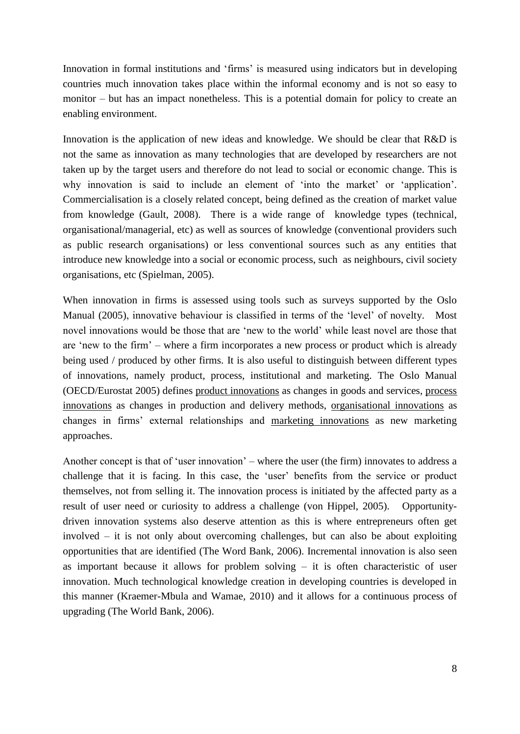Innovation in formal institutions and 'firms' is measured using indicators but in developing countries much innovation takes place within the informal economy and is not so easy to monitor – but has an impact nonetheless. This is a potential domain for policy to create an enabling environment.

Innovation is the application of new ideas and knowledge. We should be clear that R&D is not the same as innovation as many technologies that are developed by researchers are not taken up by the target users and therefore do not lead to social or economic change. This is why innovation is said to include an element of 'into the market' or 'application'. Commercialisation is a closely related concept, being defined as the creation of market value from knowledge (Gault, 2008). There is a wide range of knowledge types (technical, organisational/managerial, etc) as well as sources of knowledge (conventional providers such as public research organisations) or less conventional sources such as any entities that introduce new knowledge into a social or economic process, such as neighbours, civil society organisations, etc (Spielman, 2005).

When innovation in firms is assessed using tools such as surveys supported by the Oslo Manual (2005), innovative behaviour is classified in terms of the 'level' of novelty. Most novel innovations would be those that are 'new to the world' while least novel are those that are 'new to the firm' – where a firm incorporates a new process or product which is already being used / produced by other firms. It is also useful to distinguish between different types of innovations, namely product, process, institutional and marketing. The Oslo Manual (OECD/Eurostat 2005) defines product innovations as changes in goods and services, process innovations as changes in production and delivery methods, organisational innovations as changes in firms' external relationships and marketing innovations as new marketing approaches.

Another concept is that of 'user innovation' – where the user (the firm) innovates to address a challenge that it is facing. In this case, the 'user' benefits from the service or product themselves, not from selling it. The innovation process is initiated by the affected party as a result of user need or curiosity to address a challenge (von Hippel, 2005). Opportunitydriven innovation systems also deserve attention as this is where entrepreneurs often get involved – it is not only about overcoming challenges, but can also be about exploiting opportunities that are identified (The Word Bank, 2006). Incremental innovation is also seen as important because it allows for problem solving – it is often characteristic of user innovation. Much technological knowledge creation in developing countries is developed in this manner (Kraemer-Mbula and Wamae, 2010) and it allows for a continuous process of upgrading (The World Bank, 2006).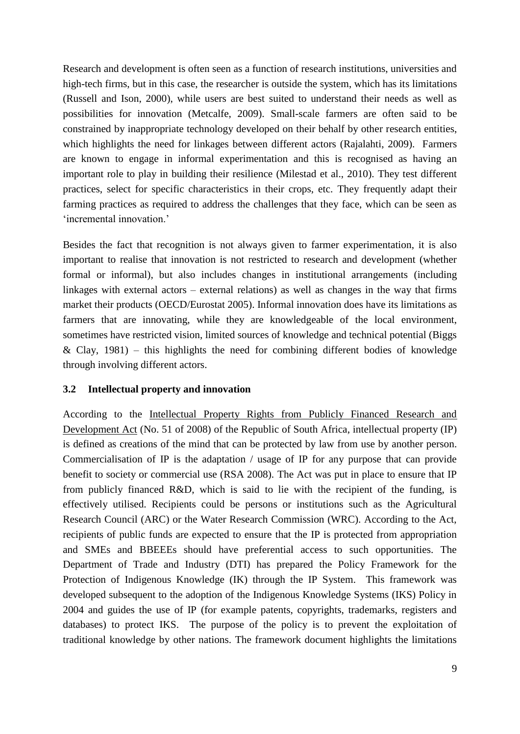Research and development is often seen as a function of research institutions, universities and high-tech firms, but in this case, the researcher is outside the system, which has its limitations (Russell and Ison, 2000), while users are best suited to understand their needs as well as possibilities for innovation (Metcalfe, 2009). Small-scale farmers are often said to be constrained by inappropriate technology developed on their behalf by other research entities, which highlights the need for linkages between different actors (Rajalahti, 2009). Farmers are known to engage in informal experimentation and this is recognised as having an important role to play in building their resilience (Milestad et al., 2010). They test different practices, select for specific characteristics in their crops, etc. They frequently adapt their farming practices as required to address the challenges that they face, which can be seen as 'incremental innovation.'

Besides the fact that recognition is not always given to farmer experimentation, it is also important to realise that innovation is not restricted to research and development (whether formal or informal), but also includes changes in institutional arrangements (including linkages with external actors – external relations) as well as changes in the way that firms market their products (OECD/Eurostat 2005). Informal innovation does have its limitations as farmers that are innovating, while they are knowledgeable of the local environment, sometimes have restricted vision, limited sources of knowledge and technical potential (Biggs  $\&$  Clay, 1981) – this highlights the need for combining different bodies of knowledge through involving different actors.

#### **3.2 Intellectual property and innovation**

According to the Intellectual Property Rights from Publicly Financed Research and Development Act (No. 51 of 2008) of the Republic of South Africa, intellectual property (IP) is defined as creations of the mind that can be protected by law from use by another person. Commercialisation of IP is the adaptation / usage of IP for any purpose that can provide benefit to society or commercial use (RSA 2008). The Act was put in place to ensure that IP from publicly financed R&D, which is said to lie with the recipient of the funding, is effectively utilised. Recipients could be persons or institutions such as the Agricultural Research Council (ARC) or the Water Research Commission (WRC). According to the Act, recipients of public funds are expected to ensure that the IP is protected from appropriation and SMEs and BBEEEs should have preferential access to such opportunities. The Department of Trade and Industry (DTI) has prepared the Policy Framework for the Protection of Indigenous Knowledge (IK) through the IP System. This framework was developed subsequent to the adoption of the Indigenous Knowledge Systems (IKS) Policy in 2004 and guides the use of IP (for example patents, copyrights, trademarks, registers and databases) to protect IKS. The purpose of the policy is to prevent the exploitation of traditional knowledge by other nations. The framework document highlights the limitations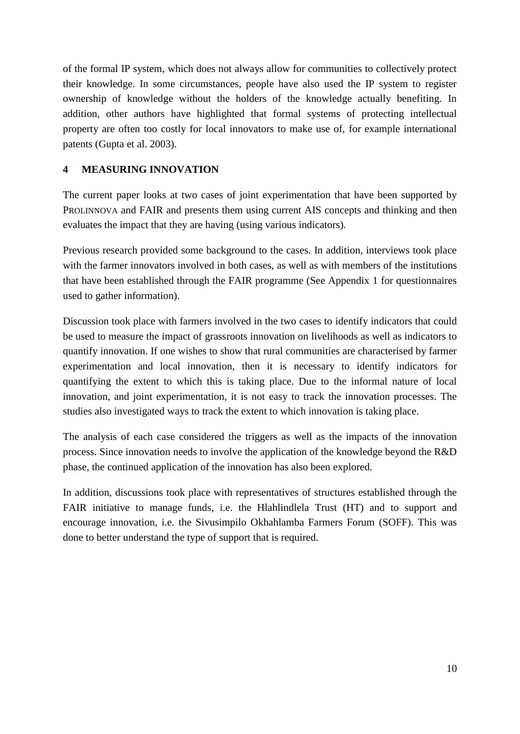of the formal IP system, which does not always allow for communities to collectively protect their knowledge. In some circumstances, people have also used the IP system to register ownership of knowledge without the holders of the knowledge actually benefiting. In addition, other authors have highlighted that formal systems of protecting intellectual property are often too costly for local innovators to make use of, for example international patents (Gupta et al. 2003).

### **4 MEASURING INNOVATION**

The current paper looks at two cases of joint experimentation that have been supported by PROLINNOVA and FAIR and presents them using current AIS concepts and thinking and then evaluates the impact that they are having (using various indicators).

Previous research provided some background to the cases. In addition, interviews took place with the farmer innovators involved in both cases, as well as with members of the institutions that have been established through the FAIR programme (See Appendix 1 for questionnaires used to gather information).

Discussion took place with farmers involved in the two cases to identify indicators that could be used to measure the impact of grassroots innovation on livelihoods as well as indicators to quantify innovation. If one wishes to show that rural communities are characterised by farmer experimentation and local innovation, then it is necessary to identify indicators for quantifying the extent to which this is taking place. Due to the informal nature of local innovation, and joint experimentation, it is not easy to track the innovation processes. The studies also investigated ways to track the extent to which innovation is taking place.

The analysis of each case considered the triggers as well as the impacts of the innovation process. Since innovation needs to involve the application of the knowledge beyond the R&D phase, the continued application of the innovation has also been explored.

In addition, discussions took place with representatives of structures established through the FAIR initiative to manage funds, i.e. the Hlahlindlela Trust (HT) and to support and encourage innovation, i.e. the Sivusimpilo Okhahlamba Farmers Forum (SOFF). This was done to better understand the type of support that is required.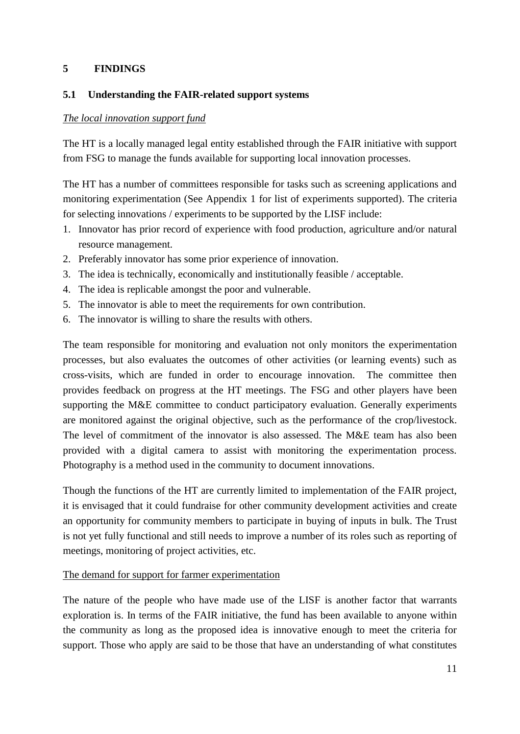### **5 FINDINGS**

### **5.1 Understanding the FAIR-related support systems**

### *The local innovation support fund*

The HT is a locally managed legal entity established through the FAIR initiative with support from FSG to manage the funds available for supporting local innovation processes.

The HT has a number of committees responsible for tasks such as screening applications and monitoring experimentation (See Appendix 1 for list of experiments supported). The criteria for selecting innovations / experiments to be supported by the LISF include:

- 1. Innovator has prior record of experience with food production, agriculture and/or natural resource management.
- 2. Preferably innovator has some prior experience of innovation.
- 3. The idea is technically, economically and institutionally feasible / acceptable.
- 4. The idea is replicable amongst the poor and vulnerable.
- 5. The innovator is able to meet the requirements for own contribution.
- 6. The innovator is willing to share the results with others.

The team responsible for monitoring and evaluation not only monitors the experimentation processes, but also evaluates the outcomes of other activities (or learning events) such as cross-visits, which are funded in order to encourage innovation. The committee then provides feedback on progress at the HT meetings. The FSG and other players have been supporting the M&E committee to conduct participatory evaluation. Generally experiments are monitored against the original objective, such as the performance of the crop/livestock. The level of commitment of the innovator is also assessed. The M&E team has also been provided with a digital camera to assist with monitoring the experimentation process. Photography is a method used in the community to document innovations.

Though the functions of the HT are currently limited to implementation of the FAIR project, it is envisaged that it could fundraise for other community development activities and create an opportunity for community members to participate in buying of inputs in bulk. The Trust is not yet fully functional and still needs to improve a number of its roles such as reporting of meetings, monitoring of project activities, etc.

### The demand for support for farmer experimentation

The nature of the people who have made use of the LISF is another factor that warrants exploration is. In terms of the FAIR initiative, the fund has been available to anyone within the community as long as the proposed idea is innovative enough to meet the criteria for support. Those who apply are said to be those that have an understanding of what constitutes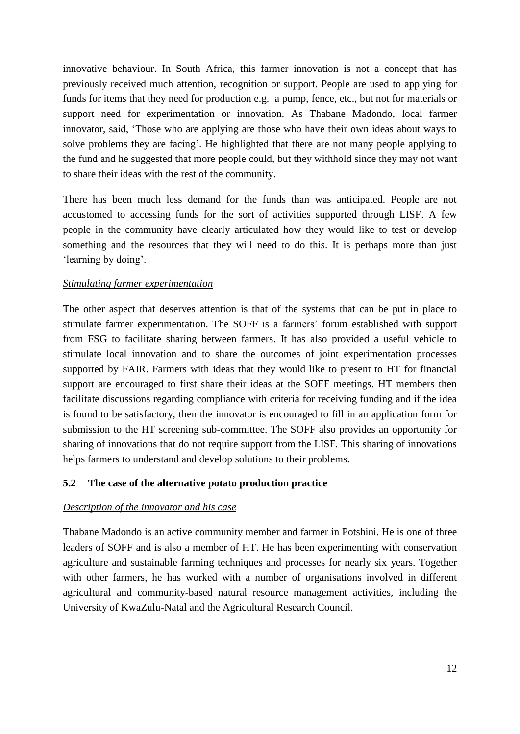innovative behaviour. In South Africa, this farmer innovation is not a concept that has previously received much attention, recognition or support. People are used to applying for funds for items that they need for production e.g. a pump, fence, etc., but not for materials or support need for experimentation or innovation. As Thabane Madondo, local farmer innovator, said, 'Those who are applying are those who have their own ideas about ways to solve problems they are facing'. He highlighted that there are not many people applying to the fund and he suggested that more people could, but they withhold since they may not want to share their ideas with the rest of the community.

There has been much less demand for the funds than was anticipated. People are not accustomed to accessing funds for the sort of activities supported through LISF. A few people in the community have clearly articulated how they would like to test or develop something and the resources that they will need to do this. It is perhaps more than just 'learning by doing'.

### *Stimulating farmer experimentation*

The other aspect that deserves attention is that of the systems that can be put in place to stimulate farmer experimentation. The SOFF is a farmers' forum established with support from FSG to facilitate sharing between farmers. It has also provided a useful vehicle to stimulate local innovation and to share the outcomes of joint experimentation processes supported by FAIR. Farmers with ideas that they would like to present to HT for financial support are encouraged to first share their ideas at the SOFF meetings. HT members then facilitate discussions regarding compliance with criteria for receiving funding and if the idea is found to be satisfactory, then the innovator is encouraged to fill in an application form for submission to the HT screening sub-committee. The SOFF also provides an opportunity for sharing of innovations that do not require support from the LISF. This sharing of innovations helps farmers to understand and develop solutions to their problems.

### **5.2 The case of the alternative potato production practice**

#### *Description of the innovator and his case*

Thabane Madondo is an active community member and farmer in Potshini. He is one of three leaders of SOFF and is also a member of HT. He has been experimenting with conservation agriculture and sustainable farming techniques and processes for nearly six years. Together with other farmers, he has worked with a number of organisations involved in different agricultural and community-based natural resource management activities, including the University of KwaZulu-Natal and the Agricultural Research Council.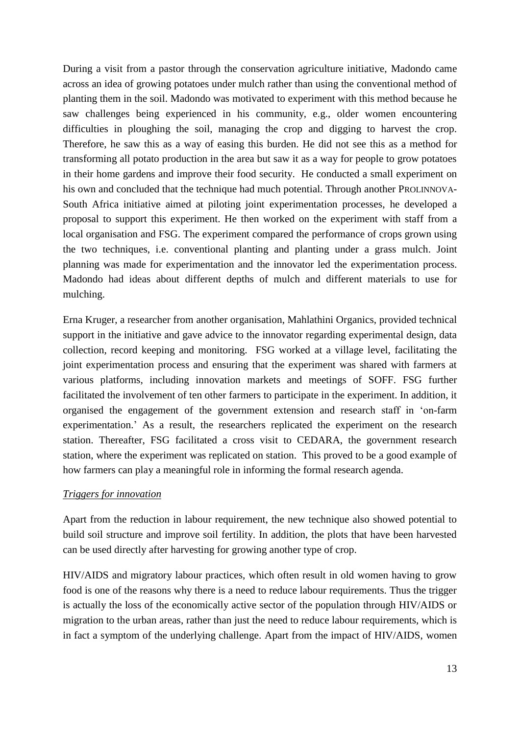During a visit from a pastor through the conservation agriculture initiative, Madondo came across an idea of growing potatoes under mulch rather than using the conventional method of planting them in the soil. Madondo was motivated to experiment with this method because he saw challenges being experienced in his community, e.g., older women encountering difficulties in ploughing the soil, managing the crop and digging to harvest the crop. Therefore, he saw this as a way of easing this burden. He did not see this as a method for transforming all potato production in the area but saw it as a way for people to grow potatoes in their home gardens and improve their food security. He conducted a small experiment on his own and concluded that the technique had much potential. Through another PROLINNOVA-South Africa initiative aimed at piloting joint experimentation processes, he developed a proposal to support this experiment. He then worked on the experiment with staff from a local organisation and FSG. The experiment compared the performance of crops grown using the two techniques, i.e. conventional planting and planting under a grass mulch. Joint planning was made for experimentation and the innovator led the experimentation process. Madondo had ideas about different depths of mulch and different materials to use for mulching.

Erna Kruger, a researcher from another organisation, Mahlathini Organics, provided technical support in the initiative and gave advice to the innovator regarding experimental design, data collection, record keeping and monitoring. FSG worked at a village level, facilitating the joint experimentation process and ensuring that the experiment was shared with farmers at various platforms, including innovation markets and meetings of SOFF. FSG further facilitated the involvement of ten other farmers to participate in the experiment. In addition, it organised the engagement of the government extension and research staff in 'on-farm experimentation.' As a result, the researchers replicated the experiment on the research station. Thereafter, FSG facilitated a cross visit to CEDARA, the government research station, where the experiment was replicated on station. This proved to be a good example of how farmers can play a meaningful role in informing the formal research agenda.

### *Triggers for innovation*

Apart from the reduction in labour requirement, the new technique also showed potential to build soil structure and improve soil fertility. In addition, the plots that have been harvested can be used directly after harvesting for growing another type of crop.

HIV/AIDS and migratory labour practices, which often result in old women having to grow food is one of the reasons why there is a need to reduce labour requirements. Thus the trigger is actually the loss of the economically active sector of the population through HIV/AIDS or migration to the urban areas, rather than just the need to reduce labour requirements, which is in fact a symptom of the underlying challenge. Apart from the impact of HIV/AIDS, women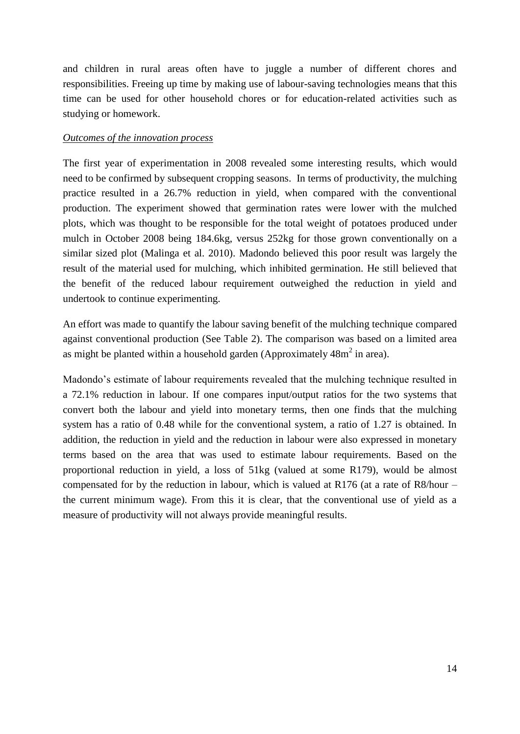and children in rural areas often have to juggle a number of different chores and responsibilities. Freeing up time by making use of labour-saving technologies means that this time can be used for other household chores or for education-related activities such as studying or homework.

#### *Outcomes of the innovation process*

The first year of experimentation in 2008 revealed some interesting results, which would need to be confirmed by subsequent cropping seasons. In terms of productivity, the mulching practice resulted in a 26.7% reduction in yield, when compared with the conventional production. The experiment showed that germination rates were lower with the mulched plots, which was thought to be responsible for the total weight of potatoes produced under mulch in October 2008 being 184.6kg, versus 252kg for those grown conventionally on a similar sized plot (Malinga et al. 2010). Madondo believed this poor result was largely the result of the material used for mulching, which inhibited germination. He still believed that the benefit of the reduced labour requirement outweighed the reduction in yield and undertook to continue experimenting.

An effort was made to quantify the labour saving benefit of the mulching technique compared against conventional production (See Table 2). The comparison was based on a limited area as might be planted within a household garden (Approximately  $48m^2$  in area).

Madondo's estimate of labour requirements revealed that the mulching technique resulted in a 72.1% reduction in labour. If one compares input/output ratios for the two systems that convert both the labour and yield into monetary terms, then one finds that the mulching system has a ratio of 0.48 while for the conventional system, a ratio of 1.27 is obtained. In addition, the reduction in yield and the reduction in labour were also expressed in monetary terms based on the area that was used to estimate labour requirements. Based on the proportional reduction in yield, a loss of 51kg (valued at some R179), would be almost compensated for by the reduction in labour, which is valued at R176 (at a rate of R8/hour – the current minimum wage). From this it is clear, that the conventional use of yield as a measure of productivity will not always provide meaningful results.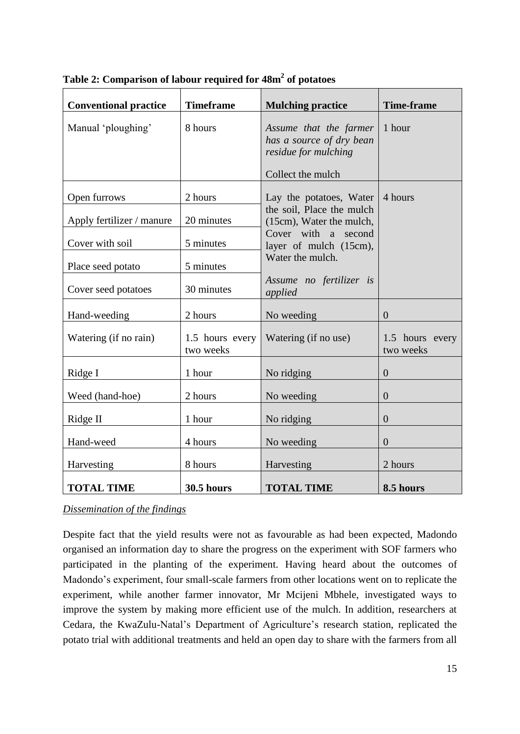| <b>Conventional practice</b>                 | <b>Timeframe</b>             | <b>Mulching practice</b>                                                                        | <b>Time-frame</b>            |
|----------------------------------------------|------------------------------|-------------------------------------------------------------------------------------------------|------------------------------|
| Manual 'ploughing'                           | 8 hours                      | Assume that the farmer<br>has a source of dry bean<br>residue for mulching<br>Collect the mulch | 1 hour                       |
| Open furrows                                 | 2 hours<br>20 minutes        | Lay the potatoes, Water<br>the soil, Place the mulch                                            | 4 hours                      |
| Apply fertilizer / manure<br>Cover with soil | 5 minutes                    | (15cm), Water the mulch,<br>Cover with a second<br>layer of mulch (15cm),<br>Water the mulch.   |                              |
| Place seed potato                            | 5 minutes                    |                                                                                                 |                              |
| Cover seed potatoes                          | 30 minutes                   | Assume no fertilizer is<br>applied                                                              |                              |
| Hand-weeding                                 | 2 hours                      | No weeding                                                                                      | $\overline{0}$               |
| Watering (if no rain)                        | 1.5 hours every<br>two weeks | Watering (if no use)                                                                            | 1.5 hours every<br>two weeks |
| Ridge I                                      | 1 hour                       | No ridging                                                                                      | $\overline{0}$               |
| Weed (hand-hoe)                              | 2 hours                      | No weeding                                                                                      | $\overline{0}$               |
| Ridge II                                     | 1 hour                       | No ridging                                                                                      | $\overline{0}$               |
| Hand-weed                                    | 4 hours                      | No weeding                                                                                      | $\overline{0}$               |
| Harvesting                                   | 8 hours                      | Harvesting                                                                                      | 2 hours                      |
| <b>TOTAL TIME</b>                            | <b>30.5 hours</b>            | <b>TOTAL TIME</b>                                                                               | 8.5 hours                    |

**Table 2: Comparison of labour required for 48m<sup>2</sup> of potatoes** 

### *Dissemination of the findings*

Despite fact that the yield results were not as favourable as had been expected, Madondo organised an information day to share the progress on the experiment with SOF farmers who participated in the planting of the experiment. Having heard about the outcomes of Madondo's experiment, four small-scale farmers from other locations went on to replicate the experiment, while another farmer innovator, Mr Mcijeni Mbhele, investigated ways to improve the system by making more efficient use of the mulch. In addition, researchers at Cedara, the KwaZulu-Natal's Department of Agriculture's research station, replicated the potato trial with additional treatments and held an open day to share with the farmers from all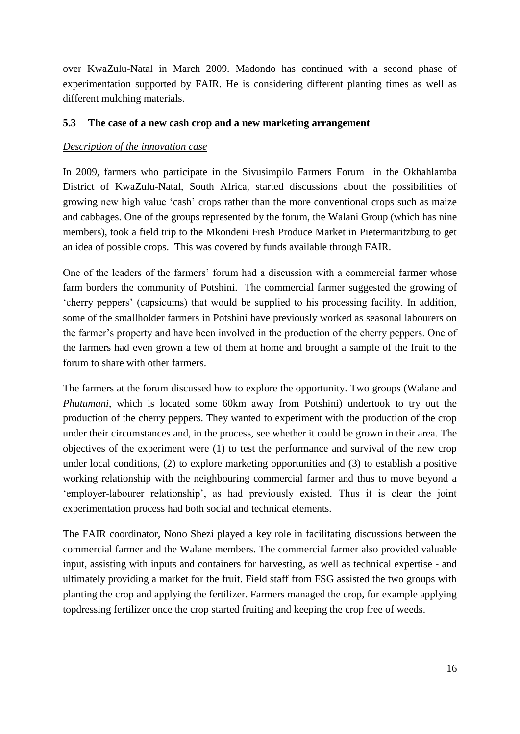over KwaZulu-Natal in March 2009. Madondo has continued with a second phase of experimentation supported by FAIR. He is considering different planting times as well as different mulching materials.

#### **5.3 The case of a new cash crop and a new marketing arrangement**

#### *Description of the innovation case*

In 2009, farmers who participate in the Sivusimpilo Farmers Forum in the Okhahlamba District of KwaZulu-Natal, South Africa, started discussions about the possibilities of growing new high value 'cash' crops rather than the more conventional crops such as maize and cabbages. One of the groups represented by the forum, the Walani Group (which has nine members), took a field trip to the Mkondeni Fresh Produce Market in Pietermaritzburg to get an idea of possible crops. This was covered by funds available through FAIR.

One of the leaders of the farmers' forum had a discussion with a commercial farmer whose farm borders the community of Potshini. The commercial farmer suggested the growing of 'cherry peppers' (capsicums) that would be supplied to his processing facility. In addition, some of the smallholder farmers in Potshini have previously worked as seasonal labourers on the farmer's property and have been involved in the production of the cherry peppers. One of the farmers had even grown a few of them at home and brought a sample of the fruit to the forum to share with other farmers.

The farmers at the forum discussed how to explore the opportunity. Two groups (Walane and *Phutumani*, which is located some 60km away from Potshini) undertook to try out the production of the cherry peppers. They wanted to experiment with the production of the crop under their circumstances and, in the process, see whether it could be grown in their area. The objectives of the experiment were (1) to test the performance and survival of the new crop under local conditions, (2) to explore marketing opportunities and (3) to establish a positive working relationship with the neighbouring commercial farmer and thus to move beyond a 'employer-labourer relationship', as had previously existed. Thus it is clear the joint experimentation process had both social and technical elements.

The FAIR coordinator, Nono Shezi played a key role in facilitating discussions between the commercial farmer and the Walane members. The commercial farmer also provided valuable input, assisting with inputs and containers for harvesting, as well as technical expertise - and ultimately providing a market for the fruit. Field staff from FSG assisted the two groups with planting the crop and applying the fertilizer. Farmers managed the crop, for example applying topdressing fertilizer once the crop started fruiting and keeping the crop free of weeds.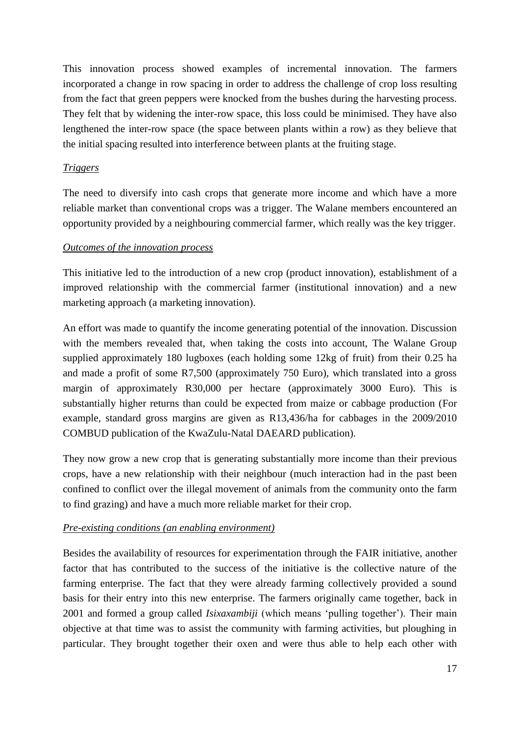This innovation process showed examples of incremental innovation. The farmers incorporated a change in row spacing in order to address the challenge of crop loss resulting from the fact that green peppers were knocked from the bushes during the harvesting process. They felt that by widening the inter-row space, this loss could be minimised. They have also lengthened the inter-row space (the space between plants within a row) as they believe that the initial spacing resulted into interference between plants at the fruiting stage.

### *Triggers*

The need to diversify into cash crops that generate more income and which have a more reliable market than conventional crops was a trigger. The Walane members encountered an opportunity provided by a neighbouring commercial farmer, which really was the key trigger.

### *Outcomes of the innovation process*

This initiative led to the introduction of a new crop (product innovation), establishment of a improved relationship with the commercial farmer (institutional innovation) and a new marketing approach (a marketing innovation).

An effort was made to quantify the income generating potential of the innovation. Discussion with the members revealed that, when taking the costs into account, The Walane Group supplied approximately 180 lugboxes (each holding some 12kg of fruit) from their 0.25 ha and made a profit of some R7,500 (approximately 750 Euro), which translated into a gross margin of approximately R30,000 per hectare (approximately 3000 Euro). This is substantially higher returns than could be expected from maize or cabbage production (For example, standard gross margins are given as R13,436/ha for cabbages in the 2009/2010 COMBUD publication of the KwaZulu-Natal DAEARD publication).

They now grow a new crop that is generating substantially more income than their previous crops, have a new relationship with their neighbour (much interaction had in the past been confined to conflict over the illegal movement of animals from the community onto the farm to find grazing) and have a much more reliable market for their crop.

### *Pre-existing conditions (an enabling environment)*

Besides the availability of resources for experimentation through the FAIR initiative, another factor that has contributed to the success of the initiative is the collective nature of the farming enterprise. The fact that they were already farming collectively provided a sound basis for their entry into this new enterprise. The farmers originally came together, back in 2001 and formed a group called *Isixaxambiji* (which means 'pulling together'). Their main objective at that time was to assist the community with farming activities, but ploughing in particular. They brought together their oxen and were thus able to help each other with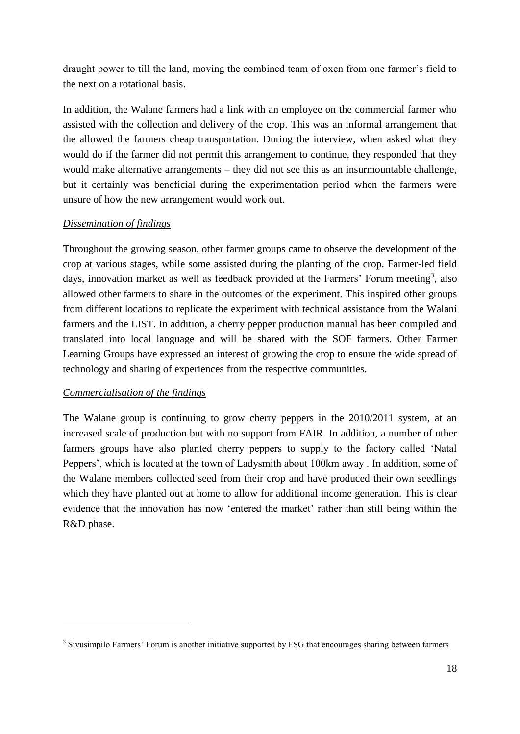draught power to till the land, moving the combined team of oxen from one farmer's field to the next on a rotational basis.

In addition, the Walane farmers had a link with an employee on the commercial farmer who assisted with the collection and delivery of the crop. This was an informal arrangement that the allowed the farmers cheap transportation. During the interview, when asked what they would do if the farmer did not permit this arrangement to continue, they responded that they would make alternative arrangements – they did not see this as an insurmountable challenge, but it certainly was beneficial during the experimentation period when the farmers were unsure of how the new arrangement would work out.

### *Dissemination of findings*

Throughout the growing season, other farmer groups came to observe the development of the crop at various stages, while some assisted during the planting of the crop. Farmer-led field days, innovation market as well as feedback provided at the Farmers' Forum meeting<sup>3</sup>, also allowed other farmers to share in the outcomes of the experiment. This inspired other groups from different locations to replicate the experiment with technical assistance from the Walani farmers and the LIST. In addition, a cherry pepper production manual has been compiled and translated into local language and will be shared with the SOF farmers. Other Farmer Learning Groups have expressed an interest of growing the crop to ensure the wide spread of technology and sharing of experiences from the respective communities.

### *Commercialisation of the findings*

1

The Walane group is continuing to grow cherry peppers in the 2010/2011 system, at an increased scale of production but with no support from FAIR. In addition, a number of other farmers groups have also planted cherry peppers to supply to the factory called 'Natal Peppers', which is located at the town of Ladysmith about 100km away . In addition, some of the Walane members collected seed from their crop and have produced their own seedlings which they have planted out at home to allow for additional income generation. This is clear evidence that the innovation has now 'entered the market' rather than still being within the R&D phase.

<sup>&</sup>lt;sup>3</sup> Sivusimpilo Farmers' Forum is another initiative supported by FSG that encourages sharing between farmers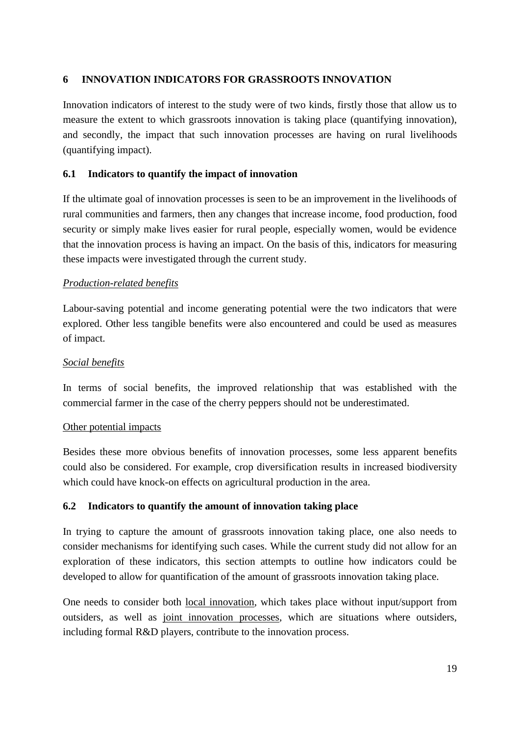### **6 INNOVATION INDICATORS FOR GRASSROOTS INNOVATION**

Innovation indicators of interest to the study were of two kinds, firstly those that allow us to measure the extent to which grassroots innovation is taking place (quantifying innovation), and secondly, the impact that such innovation processes are having on rural livelihoods (quantifying impact).

### **6.1 Indicators to quantify the impact of innovation**

If the ultimate goal of innovation processes is seen to be an improvement in the livelihoods of rural communities and farmers, then any changes that increase income, food production, food security or simply make lives easier for rural people, especially women, would be evidence that the innovation process is having an impact. On the basis of this, indicators for measuring these impacts were investigated through the current study.

#### *Production-related benefits*

Labour-saving potential and income generating potential were the two indicators that were explored. Other less tangible benefits were also encountered and could be used as measures of impact.

#### *Social benefits*

In terms of social benefits, the improved relationship that was established with the commercial farmer in the case of the cherry peppers should not be underestimated.

#### Other potential impacts

Besides these more obvious benefits of innovation processes, some less apparent benefits could also be considered. For example, crop diversification results in increased biodiversity which could have knock-on effects on agricultural production in the area.

### **6.2 Indicators to quantify the amount of innovation taking place**

In trying to capture the amount of grassroots innovation taking place, one also needs to consider mechanisms for identifying such cases. While the current study did not allow for an exploration of these indicators, this section attempts to outline how indicators could be developed to allow for quantification of the amount of grassroots innovation taking place.

One needs to consider both local innovation, which takes place without input/support from outsiders, as well as joint innovation processes, which are situations where outsiders, including formal R&D players, contribute to the innovation process.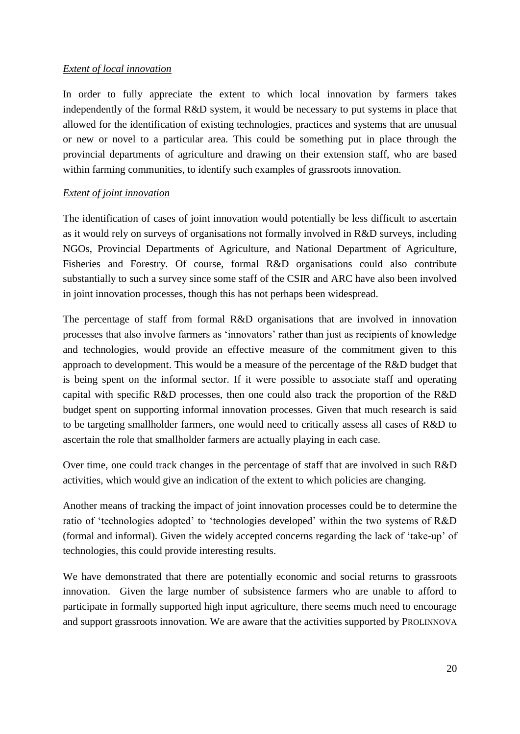### *Extent of local innovation*

In order to fully appreciate the extent to which local innovation by farmers takes independently of the formal R&D system, it would be necessary to put systems in place that allowed for the identification of existing technologies, practices and systems that are unusual or new or novel to a particular area. This could be something put in place through the provincial departments of agriculture and drawing on their extension staff, who are based within farming communities, to identify such examples of grassroots innovation.

### *Extent of joint innovation*

The identification of cases of joint innovation would potentially be less difficult to ascertain as it would rely on surveys of organisations not formally involved in R&D surveys, including NGOs, Provincial Departments of Agriculture, and National Department of Agriculture, Fisheries and Forestry. Of course, formal R&D organisations could also contribute substantially to such a survey since some staff of the CSIR and ARC have also been involved in joint innovation processes, though this has not perhaps been widespread.

The percentage of staff from formal R&D organisations that are involved in innovation processes that also involve farmers as 'innovators' rather than just as recipients of knowledge and technologies, would provide an effective measure of the commitment given to this approach to development. This would be a measure of the percentage of the R&D budget that is being spent on the informal sector. If it were possible to associate staff and operating capital with specific R&D processes, then one could also track the proportion of the R&D budget spent on supporting informal innovation processes. Given that much research is said to be targeting smallholder farmers, one would need to critically assess all cases of R&D to ascertain the role that smallholder farmers are actually playing in each case.

Over time, one could track changes in the percentage of staff that are involved in such R&D activities, which would give an indication of the extent to which policies are changing.

Another means of tracking the impact of joint innovation processes could be to determine the ratio of 'technologies adopted' to 'technologies developed' within the two systems of R&D (formal and informal). Given the widely accepted concerns regarding the lack of 'take-up' of technologies, this could provide interesting results.

We have demonstrated that there are potentially economic and social returns to grassroots innovation. Given the large number of subsistence farmers who are unable to afford to participate in formally supported high input agriculture, there seems much need to encourage and support grassroots innovation. We are aware that the activities supported by PROLINNOVA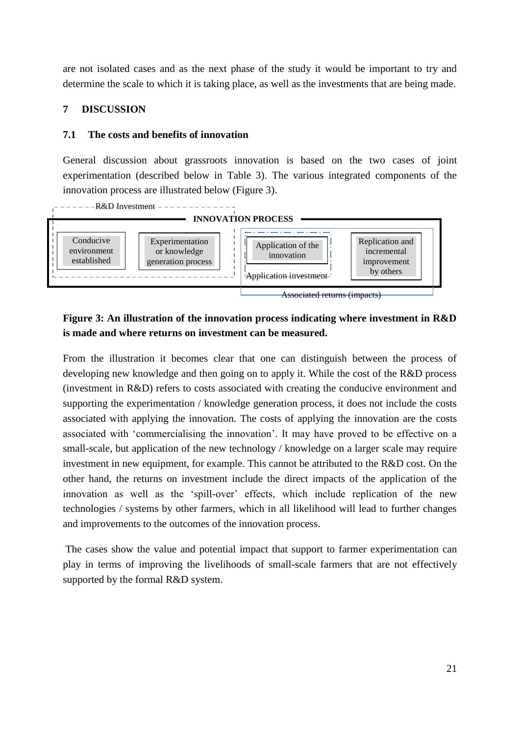are not isolated cases and as the next phase of the study it would be important to try and determine the scale to which it is taking place, as well as the investments that are being made.

### **7 DISCUSSION**

#### **7.1 The costs and benefits of innovation**

General discussion about grassroots innovation is based on the two cases of joint experimentation (described below in Table 3). The various integrated components of the innovation process are illustrated below (Figure 3).



# **Figure 3: An illustration of the innovation process indicating where investment in R&D is made and where returns on investment can be measured.**

From the illustration it becomes clear that one can distinguish between the process of developing new knowledge and then going on to apply it. While the cost of the R&D process (investment in R&D) refers to costs associated with creating the conducive environment and supporting the experimentation / knowledge generation process, it does not include the costs associated with applying the innovation. The costs of applying the innovation are the costs associated with 'commercialising the innovation'. It may have proved to be effective on a small-scale, but application of the new technology / knowledge on a larger scale may require investment in new equipment, for example. This cannot be attributed to the R&D cost. On the other hand, the returns on investment include the direct impacts of the application of the innovation as well as the 'spill-over' effects, which include replication of the new technologies / systems by other farmers, which in all likelihood will lead to further changes and improvements to the outcomes of the innovation process.

The cases show the value and potential impact that support to farmer experimentation can play in terms of improving the livelihoods of small-scale farmers that are not effectively supported by the formal R&D system.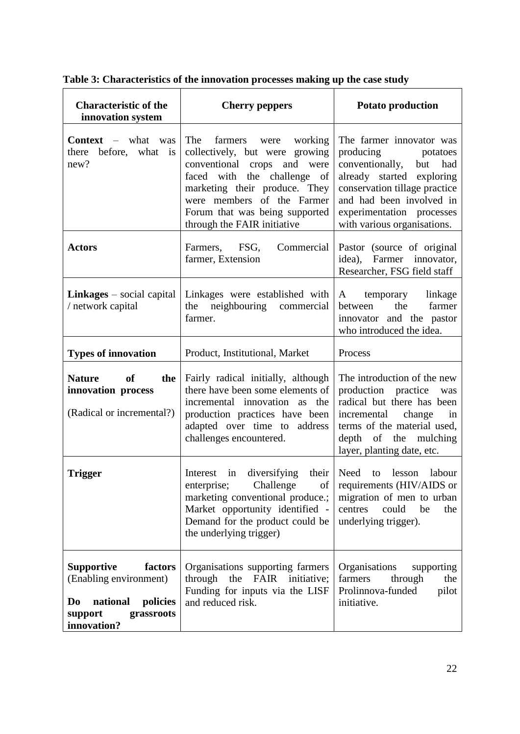| <b>Characteristic of the</b><br>innovation system                                                                            | <b>Cherry peppers</b>                                                                                                                                                                                                                                                | <b>Potato production</b>                                                                                                                                                                                                                 |  |
|------------------------------------------------------------------------------------------------------------------------------|----------------------------------------------------------------------------------------------------------------------------------------------------------------------------------------------------------------------------------------------------------------------|------------------------------------------------------------------------------------------------------------------------------------------------------------------------------------------------------------------------------------------|--|
| <b>Context</b> $-$ what was<br>before,<br>what<br>there<br>is<br>new?                                                        | The<br>farmers<br>working<br>were<br>collectively, but were growing<br>conventional crops<br>and were<br>faced with the challenge of<br>marketing their produce. They<br>were members of the Farmer<br>Forum that was being supported<br>through the FAIR initiative | The farmer innovator was<br>producing<br>potatoes<br>conventionally,<br>but<br>had<br>already started exploring<br>conservation tillage practice<br>and had been involved in<br>experimentation processes<br>with various organisations. |  |
| <b>Actors</b>                                                                                                                | Farmers, FSG,<br>Commercial<br>farmer, Extension                                                                                                                                                                                                                     | Pastor (source of original<br>idea),<br>Farmer<br>innovator,<br>Researcher, FSG field staff                                                                                                                                              |  |
| <b>Linkages</b> $-$ social capital<br>/ network capital                                                                      | Linkages were established with<br>neighbouring<br>the<br>commercial<br>farmer.                                                                                                                                                                                       | linkage<br>temporary<br>A<br>the<br>farmer<br>between<br>innovator and the pastor<br>who introduced the idea.                                                                                                                            |  |
| <b>Types of innovation</b>                                                                                                   | Product, Institutional, Market                                                                                                                                                                                                                                       | Process                                                                                                                                                                                                                                  |  |
| <b>Nature</b><br>of<br>the<br>innovation process<br>(Radical or incremental?)                                                | Fairly radical initially, although<br>there have been some elements of<br>incremental innovation as the<br>production practices have been<br>adapted over time to address<br>challenges encountered.                                                                 | The introduction of the new<br>production practice<br>was<br>radical but there has been<br>change<br>incremental<br>in<br>terms of the material used,<br>depth of the mulching<br>layer, planting date, etc.                             |  |
| <b>Trigger</b>                                                                                                               | Interest<br>diversifying<br>their<br>in<br>Challenge<br>enterprise;<br>of<br>marketing conventional produce.;<br>Market opportunity identified -<br>Demand for the product could be<br>the underlying trigger)                                                       | Need<br>lesson<br>labour<br>to<br>requirements (HIV/AIDS or<br>migration of men to urban<br>centres<br>could<br>be<br>the<br>underlying trigger).                                                                                        |  |
| <b>Supportive</b><br>factors<br>(Enabling environment)<br>national<br>policies<br>Do<br>support<br>grassroots<br>innovation? | Organisations supporting farmers<br>through the<br>FAIR<br>initiative;<br>Funding for inputs via the LISF<br>and reduced risk.                                                                                                                                       | Organisations<br>supporting<br>farmers<br>through<br>the<br>Prolinnova-funded<br>pilot<br>initiative.                                                                                                                                    |  |

**Table 3: Characteristics of the innovation processes making up the case study**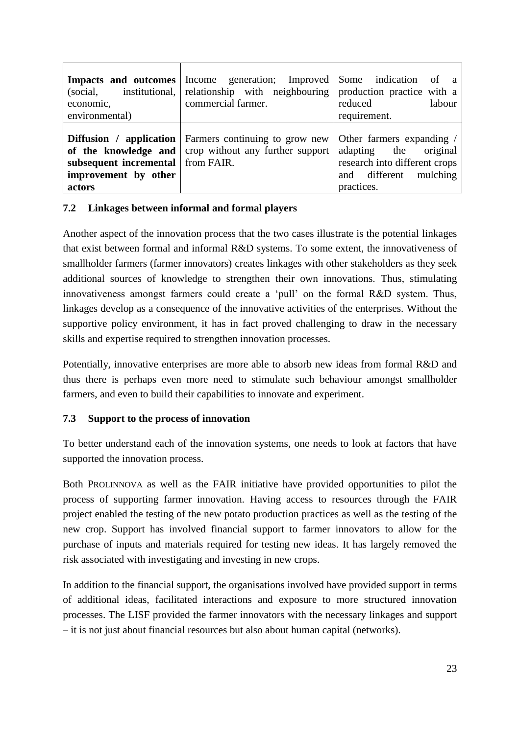| Impacts and outcomes<br>institutional,<br>(social,<br>economic,<br>environmental)             | Income generation; Improved Some indication of a<br>relationship with neighbouring production practice with a<br>commercial farmer.    | reduced<br>labour<br>requirement.                                                                 |
|-----------------------------------------------------------------------------------------------|----------------------------------------------------------------------------------------------------------------------------------------|---------------------------------------------------------------------------------------------------|
| of the knowledge and<br>subsequent incremental   from FAIR.<br>improvement by other<br>actors | <b>Diffusion</b> / <b>application</b>   Farmers continuing to grow new   Other farmers expanding /<br>crop without any further support | original<br>adapting the<br>research into different crops<br>and different mulching<br>practices. |

### **7.2 Linkages between informal and formal players**

Another aspect of the innovation process that the two cases illustrate is the potential linkages that exist between formal and informal R&D systems. To some extent, the innovativeness of smallholder farmers (farmer innovators) creates linkages with other stakeholders as they seek additional sources of knowledge to strengthen their own innovations. Thus, stimulating innovativeness amongst farmers could create a 'pull' on the formal R&D system. Thus, linkages develop as a consequence of the innovative activities of the enterprises. Without the supportive policy environment, it has in fact proved challenging to draw in the necessary skills and expertise required to strengthen innovation processes.

Potentially, innovative enterprises are more able to absorb new ideas from formal R&D and thus there is perhaps even more need to stimulate such behaviour amongst smallholder farmers, and even to build their capabilities to innovate and experiment.

# **7.3 Support to the process of innovation**

To better understand each of the innovation systems, one needs to look at factors that have supported the innovation process.

Both PROLINNOVA as well as the FAIR initiative have provided opportunities to pilot the process of supporting farmer innovation. Having access to resources through the FAIR project enabled the testing of the new potato production practices as well as the testing of the new crop. Support has involved financial support to farmer innovators to allow for the purchase of inputs and materials required for testing new ideas. It has largely removed the risk associated with investigating and investing in new crops.

In addition to the financial support, the organisations involved have provided support in terms of additional ideas, facilitated interactions and exposure to more structured innovation processes. The LISF provided the farmer innovators with the necessary linkages and support – it is not just about financial resources but also about human capital (networks).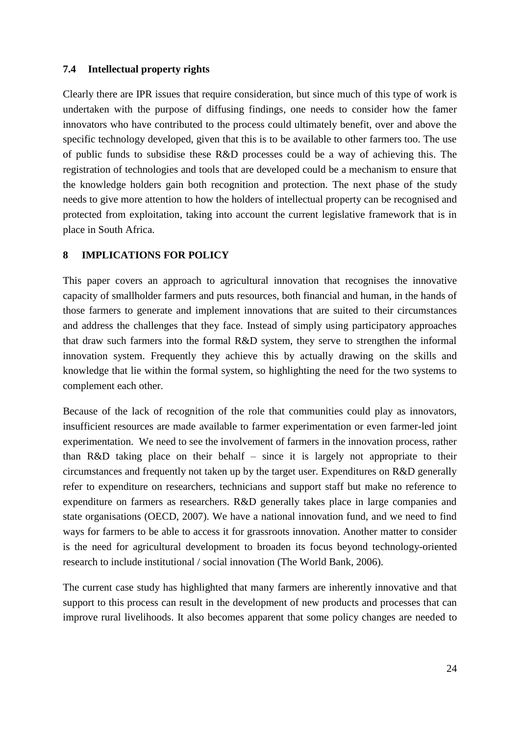### **7.4 Intellectual property rights**

Clearly there are IPR issues that require consideration, but since much of this type of work is undertaken with the purpose of diffusing findings, one needs to consider how the famer innovators who have contributed to the process could ultimately benefit, over and above the specific technology developed, given that this is to be available to other farmers too. The use of public funds to subsidise these R&D processes could be a way of achieving this. The registration of technologies and tools that are developed could be a mechanism to ensure that the knowledge holders gain both recognition and protection. The next phase of the study needs to give more attention to how the holders of intellectual property can be recognised and protected from exploitation, taking into account the current legislative framework that is in place in South Africa.

#### **8 IMPLICATIONS FOR POLICY**

This paper covers an approach to agricultural innovation that recognises the innovative capacity of smallholder farmers and puts resources, both financial and human, in the hands of those farmers to generate and implement innovations that are suited to their circumstances and address the challenges that they face. Instead of simply using participatory approaches that draw such farmers into the formal R&D system, they serve to strengthen the informal innovation system. Frequently they achieve this by actually drawing on the skills and knowledge that lie within the formal system, so highlighting the need for the two systems to complement each other.

Because of the lack of recognition of the role that communities could play as innovators, insufficient resources are made available to farmer experimentation or even farmer-led joint experimentation. We need to see the involvement of farmers in the innovation process, rather than R&D taking place on their behalf – since it is largely not appropriate to their circumstances and frequently not taken up by the target user. Expenditures on R&D generally refer to expenditure on researchers, technicians and support staff but make no reference to expenditure on farmers as researchers. R&D generally takes place in large companies and state organisations (OECD, 2007). We have a national innovation fund, and we need to find ways for farmers to be able to access it for grassroots innovation. Another matter to consider is the need for agricultural development to broaden its focus beyond technology-oriented research to include institutional / social innovation (The World Bank, 2006).

The current case study has highlighted that many farmers are inherently innovative and that support to this process can result in the development of new products and processes that can improve rural livelihoods. It also becomes apparent that some policy changes are needed to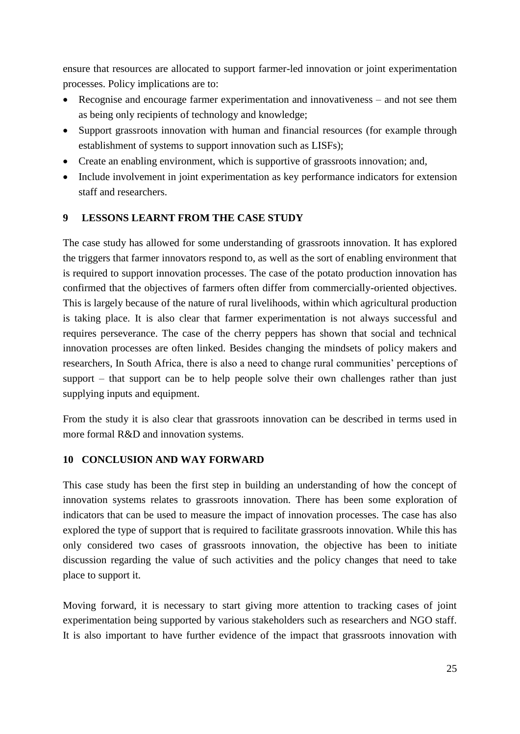ensure that resources are allocated to support farmer-led innovation or joint experimentation processes. Policy implications are to:

- Recognise and encourage farmer experimentation and innovativeness and not see them as being only recipients of technology and knowledge;
- Support grassroots innovation with human and financial resources (for example through establishment of systems to support innovation such as LISFs);
- Create an enabling environment, which is supportive of grassroots innovation; and,
- Include involvement in joint experimentation as key performance indicators for extension staff and researchers.

### **9 LESSONS LEARNT FROM THE CASE STUDY**

The case study has allowed for some understanding of grassroots innovation. It has explored the triggers that farmer innovators respond to, as well as the sort of enabling environment that is required to support innovation processes. The case of the potato production innovation has confirmed that the objectives of farmers often differ from commercially-oriented objectives. This is largely because of the nature of rural livelihoods, within which agricultural production is taking place. It is also clear that farmer experimentation is not always successful and requires perseverance. The case of the cherry peppers has shown that social and technical innovation processes are often linked. Besides changing the mindsets of policy makers and researchers, In South Africa, there is also a need to change rural communities' perceptions of support – that support can be to help people solve their own challenges rather than just supplying inputs and equipment.

From the study it is also clear that grassroots innovation can be described in terms used in more formal R&D and innovation systems.

#### **10 CONCLUSION AND WAY FORWARD**

This case study has been the first step in building an understanding of how the concept of innovation systems relates to grassroots innovation. There has been some exploration of indicators that can be used to measure the impact of innovation processes. The case has also explored the type of support that is required to facilitate grassroots innovation. While this has only considered two cases of grassroots innovation, the objective has been to initiate discussion regarding the value of such activities and the policy changes that need to take place to support it.

Moving forward, it is necessary to start giving more attention to tracking cases of joint experimentation being supported by various stakeholders such as researchers and NGO staff. It is also important to have further evidence of the impact that grassroots innovation with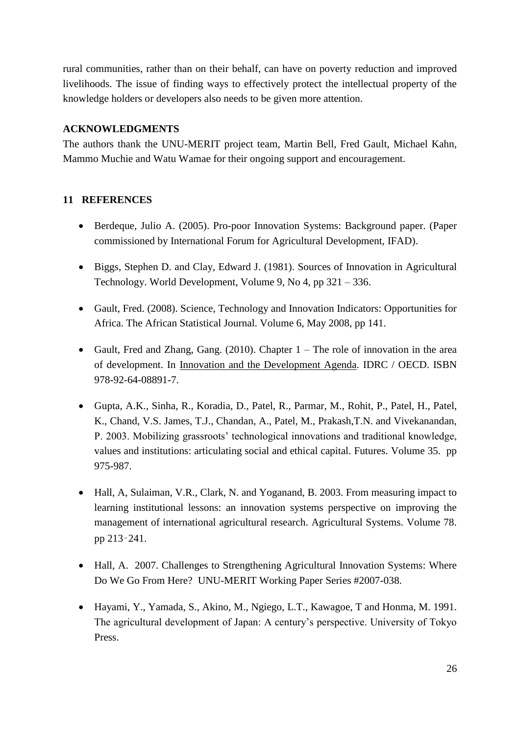rural communities, rather than on their behalf, can have on poverty reduction and improved livelihoods. The issue of finding ways to effectively protect the intellectual property of the knowledge holders or developers also needs to be given more attention.

### **ACKNOWLEDGMENTS**

The authors thank the UNU-MERIT project team, Martin Bell, Fred Gault, Michael Kahn, Mammo Muchie and Watu Wamae for their ongoing support and encouragement.

# **11 REFERENCES**

- Berdeque, Julio A. (2005). Pro-poor Innovation Systems: Background paper. (Paper commissioned by International Forum for Agricultural Development, IFAD).
- Biggs, Stephen D. and Clay, Edward J. (1981). Sources of Innovation in Agricultural Technology. World Development, Volume 9, No 4, pp 321 – 336.
- Gault, Fred. (2008). Science, Technology and Innovation Indicators: Opportunities for Africa. The African Statistical Journal. Volume 6, May 2008, pp 141.
- Gault, Fred and Zhang, Gang. (2010). Chapter  $1 -$  The role of innovation in the area of development. In Innovation and the Development Agenda. IDRC / OECD. ISBN 978-92-64-08891-7.
- Gupta, A.K., Sinha, R., Koradia, D., Patel, R., Parmar, M., Rohit, P., Patel, H., Patel, K., Chand, V.S. James, T.J., Chandan, A., Patel, M., Prakash,T.N. and Vivekanandan, P. 2003. Mobilizing grassroots' technological innovations and traditional knowledge, values and institutions: articulating social and ethical capital. Futures. Volume 35. pp 975-987.
- Hall, A, Sulaiman, V.R., Clark, N. and Yoganand, B. 2003. From measuring impact to learning institutional lessons: an innovation systems perspective on improving the management of international agricultural research. Agricultural Systems. Volume 78. pp 213–241.
- Hall, A. 2007. Challenges to Strengthening Agricultural Innovation Systems: Where Do We Go From Here? UNU-MERIT Working Paper Series #2007-038.
- Hayami, Y., Yamada, S., Akino, M., Ngiego, L.T., Kawagoe, T and Honma, M. 1991. The agricultural development of Japan: A century's perspective. University of Tokyo Press.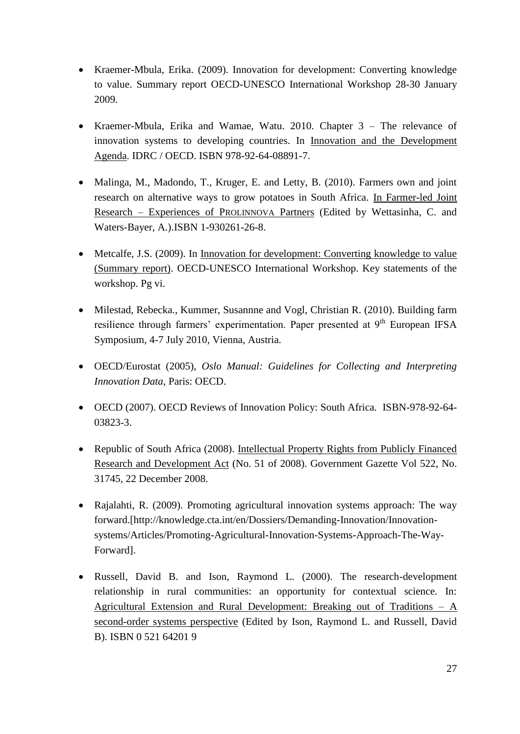- Kraemer-Mbula, Erika. (2009). Innovation for development: Converting knowledge to value. Summary report OECD-UNESCO International Workshop 28-30 January 2009.
- Kraemer-Mbula, Erika and Wamae, Watu. 2010. Chapter 3 The relevance of innovation systems to developing countries. In Innovation and the Development Agenda. IDRC / OECD. ISBN 978-92-64-08891-7.
- Malinga, M., Madondo, T., Kruger, E. and Letty, B. (2010). Farmers own and joint research on alternative ways to grow potatoes in South Africa. In Farmer-led Joint Research – Experiences of PROLINNOVA Partners (Edited by Wettasinha, C. and Waters-Bayer, A.).ISBN 1-930261-26-8.
- Metcalfe, J.S. (2009). In Innovation for development: Converting knowledge to value (Summary report). OECD-UNESCO International Workshop. Key statements of the workshop. Pg vi.
- Milestad, Rebecka., Kummer, Susannne and Vogl, Christian R. (2010). Building farm resilience through farmers' experimentation. Paper presented at  $9<sup>th</sup>$  European IFSA Symposium, 4-7 July 2010, Vienna, Austria.
- OECD/Eurostat (2005), *Oslo Manual: Guidelines for Collecting and Interpreting Innovation Data*, Paris: OECD.
- OECD (2007). OECD Reviews of Innovation Policy: South Africa. ISBN-978-92-64- 03823-3.
- Republic of South Africa (2008). Intellectual Property Rights from Publicly Financed Research and Development Act (No. 51 of 2008). Government Gazette Vol 522, No. 31745, 22 December 2008.
- Rajalahti, R. (2009). Promoting agricultural innovation systems approach: The way forward.[http://knowledge.cta.int/en/Dossiers/Demanding-Innovation/Innovationsystems/Articles/Promoting-Agricultural-Innovation-Systems-Approach-The-Way-Forward].
- Russell, David B. and Ison, Raymond L. (2000). The research-development relationship in rural communities: an opportunity for contextual science. In: Agricultural Extension and Rural Development: Breaking out of Traditions – A second-order systems perspective (Edited by Ison, Raymond L. and Russell, David B). ISBN 0 521 64201 9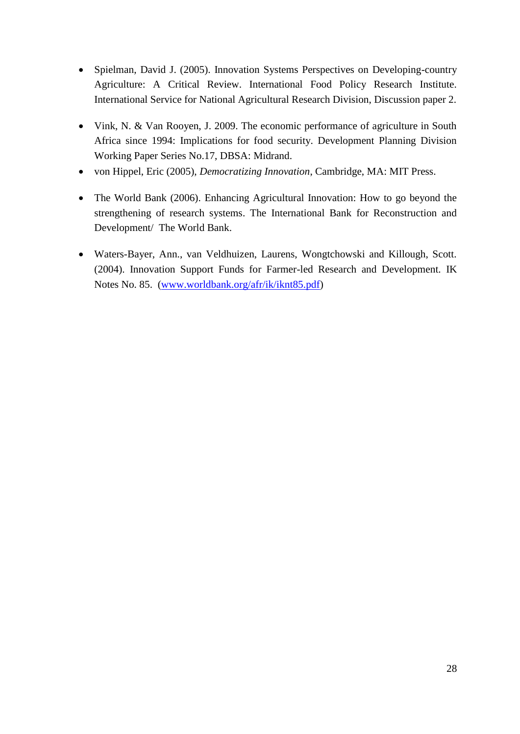- Spielman, David J. (2005). Innovation Systems Perspectives on Developing-country Agriculture: A Critical Review. International Food Policy Research Institute. International Service for National Agricultural Research Division, Discussion paper 2.
- Vink, N. & Van Rooyen, J. 2009. The economic performance of agriculture in South Africa since 1994: Implications for food security. Development Planning Division Working Paper Series No.17, DBSA: Midrand.
- von Hippel, Eric (2005), *Democratizing Innovation*, Cambridge, MA: MIT Press.
- The World Bank (2006). Enhancing Agricultural Innovation: How to go beyond the strengthening of research systems. The International Bank for Reconstruction and Development/ The World Bank.
- Waters-Bayer, Ann., van Veldhuizen, Laurens, Wongtchowski and Killough, Scott. (2004). Innovation Support Funds for Farmer-led Research and Development. IK Notes No. 85. [\(www.worldbank.org/afr/ik/iknt85.pdf\)](http://www.worldbank.org/afr/ik/iknt85.pdf)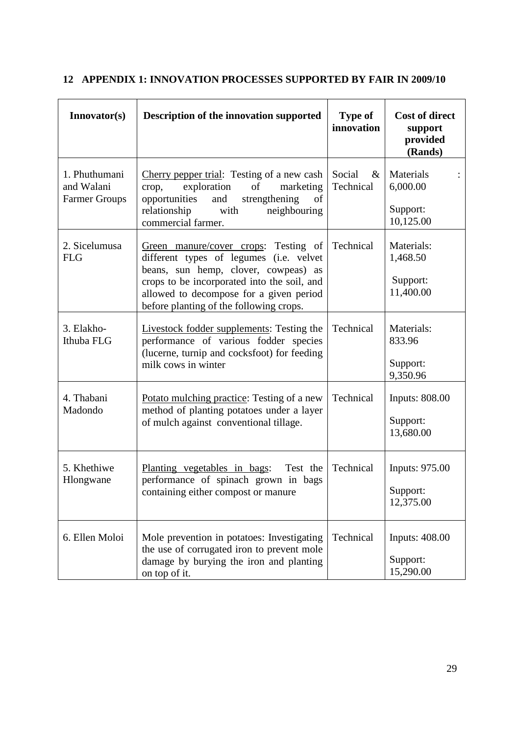| Innovator(s)                                        | Description of the innovation supported                                                                                                                                                                                                                      | <b>Type of</b><br>innovation | <b>Cost of direct</b><br>support<br>provided<br>(Rands) |
|-----------------------------------------------------|--------------------------------------------------------------------------------------------------------------------------------------------------------------------------------------------------------------------------------------------------------------|------------------------------|---------------------------------------------------------|
| 1. Phuthumani<br>and Walani<br><b>Farmer Groups</b> | Cherry pepper trial: Testing of a new cash<br>exploration<br>of<br>marketing<br>crop,<br>opportunities<br>and<br>strengthening<br>of<br>relationship<br>with<br>neighbouring<br>commercial farmer.                                                           | Social<br>$\&$<br>Technical  | Materials<br>6,000.00<br>Support:<br>10,125.00          |
| 2. Sicelumusa<br><b>FLG</b>                         | Green manure/cover crops: Testing of<br>different types of legumes (i.e. velvet<br>beans, sun hemp, clover, cowpeas) as<br>crops to be incorporated into the soil, and<br>allowed to decompose for a given period<br>before planting of the following crops. | Technical                    | Materials:<br>1,468.50<br>Support:<br>11,400.00         |
| 3. Elakho-<br>Ithuba FLG                            | <b>Livestock fodder supplements:</b> Testing the<br>performance of various fodder species<br>(lucerne, turnip and cocksfoot) for feeding<br>milk cows in winter                                                                                              | Technical                    | Materials:<br>833.96<br>Support:<br>9,350.96            |
| 4. Thabani<br>Madondo                               | Potato mulching practice: Testing of a new<br>method of planting potatoes under a layer<br>of mulch against conventional tillage.                                                                                                                            | Technical                    | <b>Inputs: 808.00</b><br>Support:<br>13,680.00          |
| 5. Khethiwe<br>Hlongwane                            | Planting vegetables in bags:<br>Test the<br>performance of spinach grown in bags<br>containing either compost or manure                                                                                                                                      | Technical                    | <b>Inputs: 975.00</b><br>Support:<br>12,375.00          |
| 6. Ellen Moloi                                      | Mole prevention in potatoes: Investigating<br>the use of corrugated iron to prevent mole<br>damage by burying the iron and planting<br>on top of it.                                                                                                         | Technical                    | <b>Inputs: 408.00</b><br>Support:<br>15,290.00          |

# **12 APPENDIX 1: INNOVATION PROCESSES SUPPORTED BY FAIR IN 2009/10**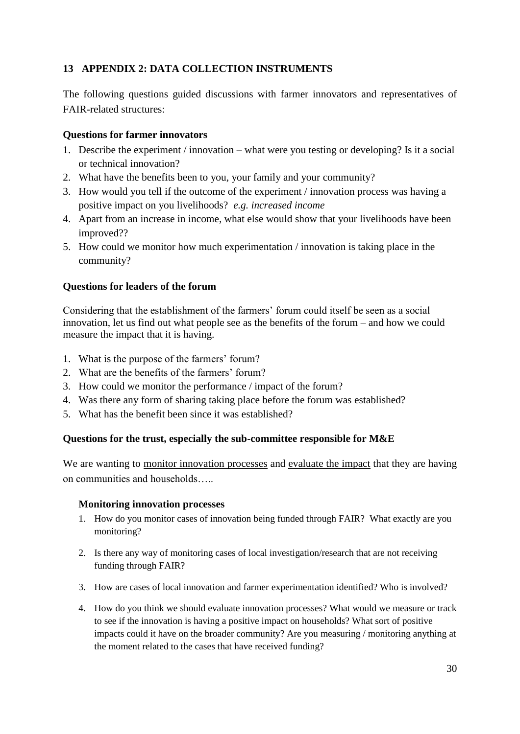# **13 APPENDIX 2: DATA COLLECTION INSTRUMENTS**

The following questions guided discussions with farmer innovators and representatives of FAIR-related structures:

### **Questions for farmer innovators**

- 1. Describe the experiment / innovation what were you testing or developing? Is it a social or technical innovation?
- 2. What have the benefits been to you, your family and your community?
- 3. How would you tell if the outcome of the experiment / innovation process was having a positive impact on you livelihoods? *e.g. increased income*
- 4. Apart from an increase in income, what else would show that your livelihoods have been improved??
- 5. How could we monitor how much experimentation / innovation is taking place in the community?

### **Questions for leaders of the forum**

Considering that the establishment of the farmers' forum could itself be seen as a social innovation, let us find out what people see as the benefits of the forum – and how we could measure the impact that it is having.

- 1. What is the purpose of the farmers' forum?
- 2. What are the benefits of the farmers' forum?
- 3. How could we monitor the performance / impact of the forum?
- 4. Was there any form of sharing taking place before the forum was established?
- 5. What has the benefit been since it was established?

### **Questions for the trust, especially the sub-committee responsible for M&E**

We are wanting to monitor innovation processes and evaluate the impact that they are having on communities and households…..

### **Monitoring innovation processes**

- 1. How do you monitor cases of innovation being funded through FAIR? What exactly are you monitoring?
- 2. Is there any way of monitoring cases of local investigation/research that are not receiving funding through FAIR?
- 3. How are cases of local innovation and farmer experimentation identified? Who is involved?
- 4. How do you think we should evaluate innovation processes? What would we measure or track to see if the innovation is having a positive impact on households? What sort of positive impacts could it have on the broader community? Are you measuring / monitoring anything at the moment related to the cases that have received funding?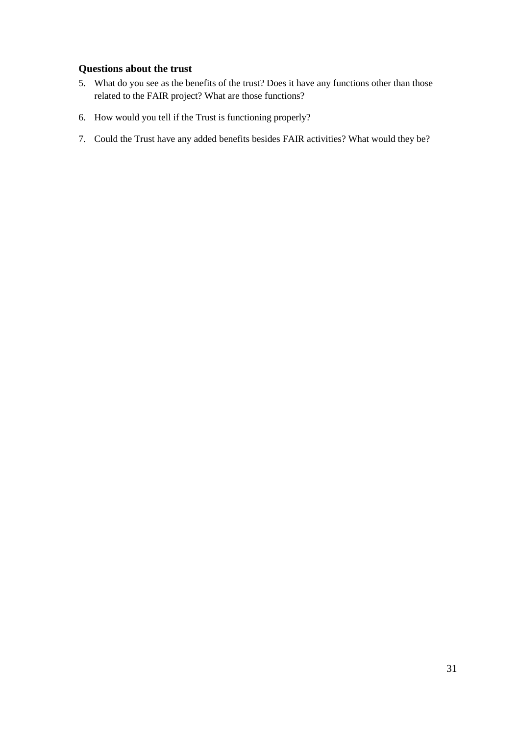#### **Questions about the trust**

- 5. What do you see as the benefits of the trust? Does it have any functions other than those related to the FAIR project? What are those functions?
- 6. How would you tell if the Trust is functioning properly?
- 7. Could the Trust have any added benefits besides FAIR activities? What would they be?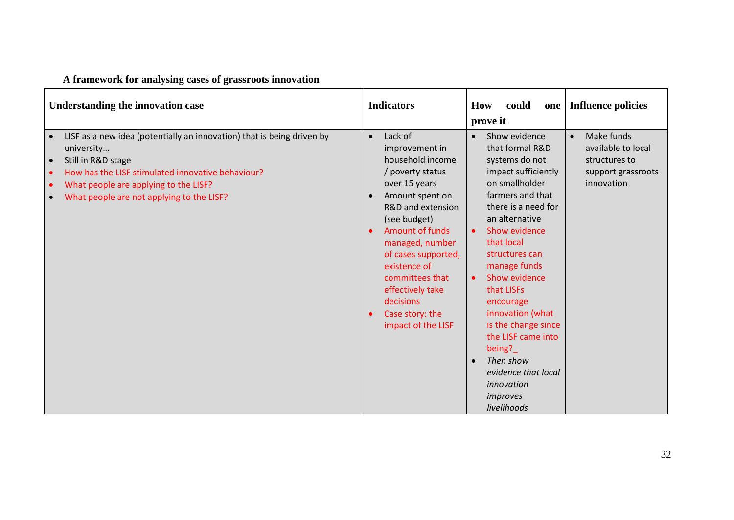# **A framework for analysing cases of grassroots innovation**

| Understanding the innovation case                                                                                                                                                                                                                                                                         | <b>Indicators</b>                                                                                                                                                                                                                                                                                                                        | could<br>How<br>one  <br>prove it                                                                                                                                                                                                                                                                                                                                                                                                                                                        | <b>Influence policies</b>                                                                          |
|-----------------------------------------------------------------------------------------------------------------------------------------------------------------------------------------------------------------------------------------------------------------------------------------------------------|------------------------------------------------------------------------------------------------------------------------------------------------------------------------------------------------------------------------------------------------------------------------------------------------------------------------------------------|------------------------------------------------------------------------------------------------------------------------------------------------------------------------------------------------------------------------------------------------------------------------------------------------------------------------------------------------------------------------------------------------------------------------------------------------------------------------------------------|----------------------------------------------------------------------------------------------------|
| LISF as a new idea (potentially an innovation) that is being driven by<br>university<br>Still in R&D stage<br>$\bullet$<br>How has the LISF stimulated innovative behaviour?<br>$\bullet$<br>What people are applying to the LISF?<br>$\bullet$<br>What people are not applying to the LISF?<br>$\bullet$ | Lack of<br>$\bullet$<br>improvement in<br>household income<br>/ poverty status<br>over 15 years<br>Amount spent on<br>R&D and extension<br>(see budget)<br><b>Amount of funds</b><br>managed, number<br>of cases supported,<br>existence of<br>committees that<br>effectively take<br>decisions<br>Case story: the<br>impact of the LISF | Show evidence<br>$\bullet$<br>that formal R&D<br>systems do not<br>impact sufficiently<br>on smallholder<br>farmers and that<br>there is a need for<br>an alternative<br>Show evidence<br>$\bullet$<br>that local<br>structures can<br>manage funds<br>Show evidence<br>$\bullet$<br>that LISFs<br>encourage<br>innovation (what<br>is the change since<br>the LISF came into<br>being?<br>Then show<br>$\bullet$<br>evidence that local<br>innovation<br><i>improves</i><br>livelihoods | Make funds<br>$\bullet$<br>available to local<br>structures to<br>support grassroots<br>innovation |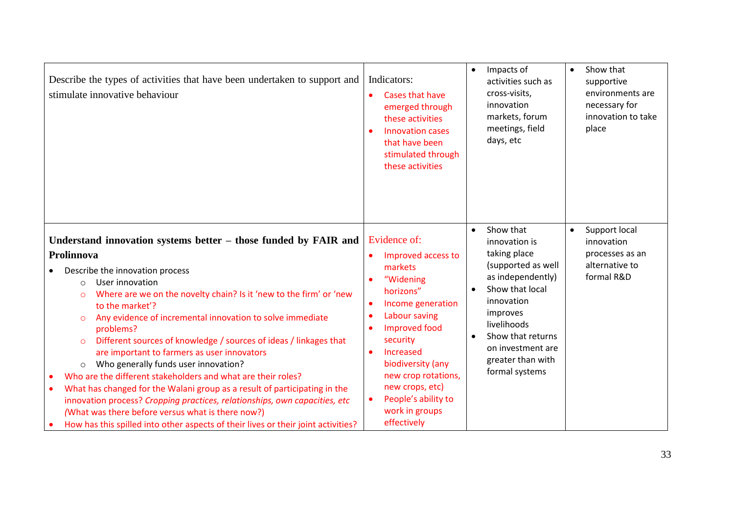| Describe the types of activities that have been undertaken to support and<br>stimulate innovative behaviour                                                                                                                                                                                                                                                                                                                                                                                                                                                                                                                                                                                                                                                                                                                                                                                                 | Indicators:<br>Cases that have<br>$\bullet$<br>emerged through<br>these activities<br>Innovation cases<br>that have been<br>stimulated through<br>these activities                                                                                                                                                           | Impacts of<br>$\bullet$<br>activities such as<br>cross-visits,<br>innovation<br>markets, forum<br>meetings, field<br>days, etc                                                                                                                               | Show that<br>$\bullet$<br>supportive<br>environments are<br>necessary for<br>innovation to take<br>place |
|-------------------------------------------------------------------------------------------------------------------------------------------------------------------------------------------------------------------------------------------------------------------------------------------------------------------------------------------------------------------------------------------------------------------------------------------------------------------------------------------------------------------------------------------------------------------------------------------------------------------------------------------------------------------------------------------------------------------------------------------------------------------------------------------------------------------------------------------------------------------------------------------------------------|------------------------------------------------------------------------------------------------------------------------------------------------------------------------------------------------------------------------------------------------------------------------------------------------------------------------------|--------------------------------------------------------------------------------------------------------------------------------------------------------------------------------------------------------------------------------------------------------------|----------------------------------------------------------------------------------------------------------|
| Understand innovation systems better – those funded by FAIR and<br>Prolinnova<br>Describe the innovation process<br>User innovation<br>$\circ$<br>Where are we on the novelty chain? Is it 'new to the firm' or 'new<br>$\circ$<br>to the market'?<br>Any evidence of incremental innovation to solve immediate<br>$\circ$<br>problems?<br>Different sources of knowledge / sources of ideas / linkages that<br>$\circ$<br>are important to farmers as user innovators<br>Who generally funds user innovation?<br>$\circ$<br>Who are the different stakeholders and what are their roles?<br>What has changed for the Walani group as a result of participating in the<br>$\bullet$<br>innovation process? Cropping practices, relationships, own capacities, etc<br>(What was there before versus what is there now?)<br>How has this spilled into other aspects of their lives or their joint activities? | Evidence of:<br>Improved access to<br>markets<br>"Widening<br>horizons"<br>Income generation<br>$\bullet$<br>Labour saving<br><b>Improved food</b><br>security<br>Increased<br>$\bullet$<br>biodiversity (any<br>new crop rotations,<br>new crops, etc)<br>People's ability to<br>$\bullet$<br>work in groups<br>effectively | Show that<br>$\bullet$<br>innovation is<br>taking place<br>(supported as well<br>as independently)<br>Show that local<br>innovation<br>improves<br>livelihoods<br>Show that returns<br>$\bullet$<br>on investment are<br>greater than with<br>formal systems | Support local<br>$\bullet$<br>innovation<br>processes as an<br>alternative to<br>formal R&D              |